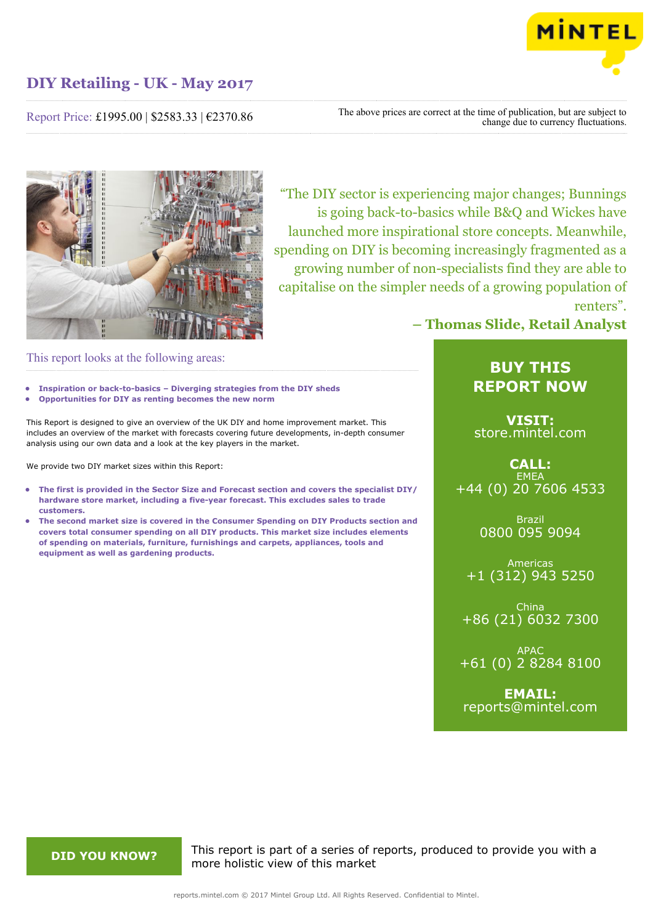

Report Price: £1995.00 | \$2583.33 | €2370.86

The above prices are correct at the time of publication, but are subject to change due to currency fluctuations.



"The DIY sector is experiencing major changes; Bunnings is going back-to-basics while B&Q and Wickes have launched more inspirational store concepts. Meanwhile, spending on DIY is becoming increasingly fragmented as a growing number of non-specialists find they are able to capitalise on the simpler needs of a growing population of renters".

# **– Thomas Slide, Retail Analyst**

# This report looks at the following areas:

- **• Inspiration or back-to-basics Diverging strategies from the DIY sheds**
- **• Opportunities for DIY as renting becomes the new norm**

This Report is designed to give an overview of the UK DIY and home improvement market. This includes an overview of the market with forecasts covering future developments, in-depth consumer analysis using our own data and a look at the key players in the market.

We provide two DIY market sizes within this Report:

- **• The first is provided in the Sector Size and Forecast section and covers the specialist DIY/ hardware store market, including a five-year forecast. This excludes sales to trade customers.**
- **• The second market size is covered in the Consumer Spending on DIY Products section and covers total consumer spending on all DIY products. This market size includes elements of spending on materials, furniture, furnishings and carpets, appliances, tools and equipment as well as gardening products.**

# **BUY THIS REPORT NOW**

**VISIT:** [store.mintel.com](http://reports.mintel.com//display/store/793325/)

# **CALL: FMFA** +44 (0) 20 7606 4533

Brazil 0800 095 9094

Americas +1 (312) 943 5250

China +86 (21) 6032 7300

APAC +61 (0) 2 8284 8100

**EMAIL:** [reports@mintel.com](mailto:reports@mintel.com)

**DID YOU KNOW?** This report is part of a series of reports, produced to provide you with a more holistic view of this market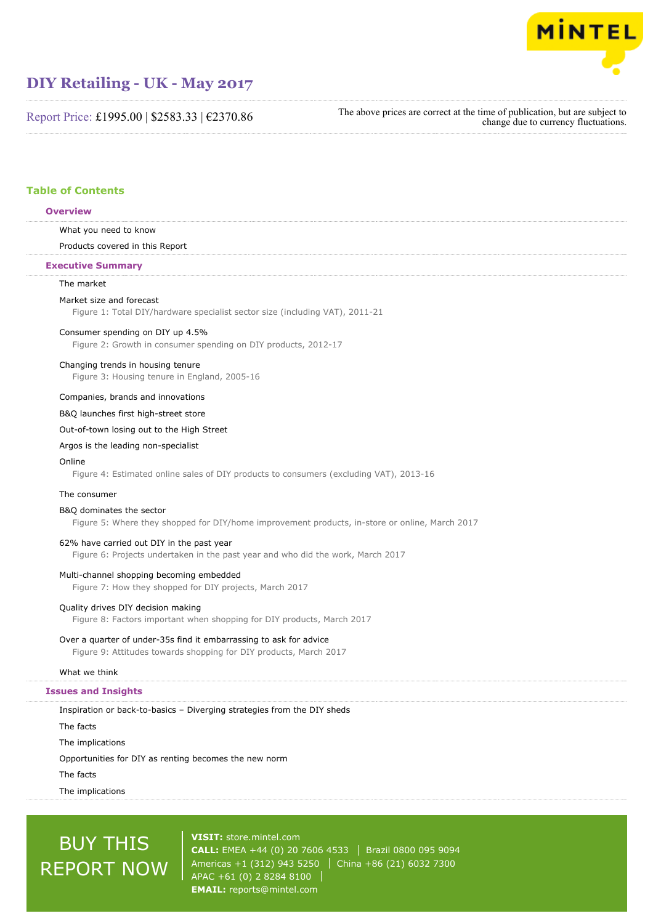

Report Price: £1995.00 | \$2583.33 | €2370.86

The above prices are correct at the time of publication, but are subject to change due to currency fluctuations.

# **Table of Contents**

# **Overview**

What you need to know

Products covered in this Report

# **Executive Summary**

# The market

Market size and forecast

Figure 1: Total DIY/hardware specialist sector size (including VAT), 2011-21

# Consumer spending on DIY up 4.5%

Figure 2: Growth in consumer spending on DIY products, 2012-17

## Changing trends in housing tenure

Figure 3: Housing tenure in England, 2005-16

# Companies, brands and innovations

B&Q launches first high-street store

Out-of-town losing out to the High Street

# Argos is the leading non-specialist

# Online

Figure 4: Estimated online sales of DIY products to consumers (excluding VAT), 2013-16

#### The consumer

# B&Q dominates the sector

Figure 5: Where they shopped for DIY/home improvement products, in-store or online, March 2017

## 62% have carried out DIY in the past year

Figure 6: Projects undertaken in the past year and who did the work, March 2017

# Multi-channel shopping becoming embedded

Figure 7: How they shopped for DIY projects, March 2017

# Quality drives DIY decision making

Figure 8: Factors important when shopping for DIY products, March 2017

# Over a quarter of under-35s find it embarrassing to ask for advice

Figure 9: Attitudes towards shopping for DIY products, March 2017

# What we think

# **Issues and Insights**

Inspiration or back-to-basics – Diverging strategies from the DIY sheds The facts

The implications

Opportunities for DIY as renting becomes the new norm

The facts

The implications

# BUY THIS REPORT NOW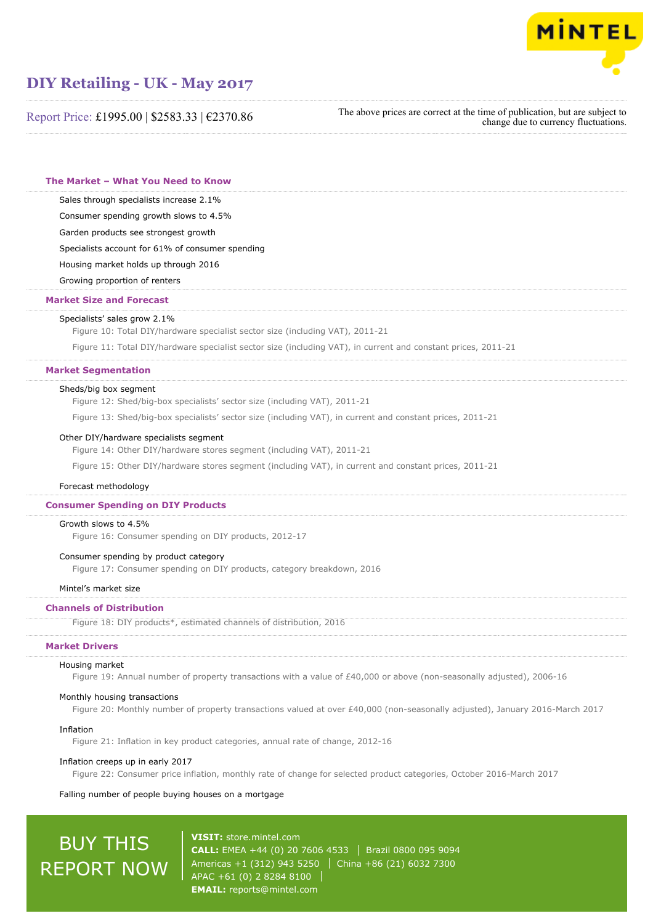

Report Price: £1995.00 | \$2583.33 | €2370.86

The above prices are correct at the time of publication, but are subject to change due to currency fluctuations.

**The Market – What You Need to Know**

Sales through specialists increase 2.1%

Consumer spending growth slows to 4.5%

Garden products see strongest growth

Specialists account for 61% of consumer spending

Housing market holds up through 2016

Growing proportion of renters

### **Market Size and Forecast**

#### Specialists' sales grow 2.1%

Figure 10: Total DIY/hardware specialist sector size (including VAT), 2011-21

Figure 11: Total DIY/hardware specialist sector size (including VAT), in current and constant prices, 2011-21

# **Market Segmentation**

#### Sheds/big box segment

Figure 12: Shed/big-box specialists' sector size (including VAT), 2011-21

Figure 13: Shed/big-box specialists' sector size (including VAT), in current and constant prices, 2011-21

#### Other DIY/hardware specialists segment

Figure 14: Other DIY/hardware stores segment (including VAT), 2011-21

Figure 15: Other DIY/hardware stores segment (including VAT), in current and constant prices, 2011-21

## Forecast methodology

# **Consumer Spending on DIY Products**

#### Growth slows to 4.5%

Figure 16: Consumer spending on DIY products, 2012-17

# Consumer spending by product category

Figure 17: Consumer spending on DIY products, category breakdown, 2016

### Mintel's market size

# **Channels of Distribution**

Figure 18: DIY products\*, estimated channels of distribution, 2016

# **Market Drivers**

#### Housing market

Figure 19: Annual number of property transactions with a value of £40,000 or above (non-seasonally adjusted), 2006-16

#### Monthly housing transactions

Figure 20: Monthly number of property transactions valued at over £40,000 (non-seasonally adjusted), January 2016-March 2017

#### Inflation

Figure 21: Inflation in key product categories, annual rate of change, 2012-16

#### Inflation creeps up in early 2017

Figure 22: Consumer price inflation, monthly rate of change for selected product categories, October 2016-March 2017

#### Falling number of people buying houses on a mortgage

# BUY THIS REPORT NOW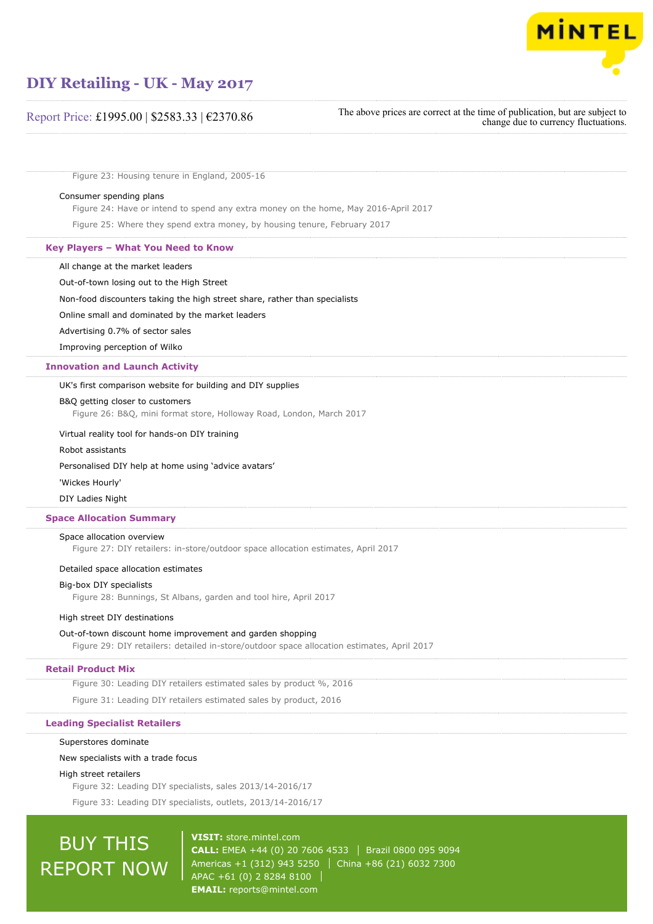

# Report Price: £1995.00 | \$2583.33 | €2370.86

The above prices are correct at the time of publication, but are subject to change due to currency fluctuations.

Figure 23: Housing tenure in England, 2005-16

## Consumer spending plans

Figure 24: Have or intend to spend any extra money on the home, May 2016-April 2017

Figure 25: Where they spend extra money, by housing tenure, February 2017

## **Key Players – What You Need to Know**

All change at the market leaders

Out-of-town losing out to the High Street

Non-food discounters taking the high street share, rather than specialists

#### Online small and dominated by the market leaders

Advertising 0.7% of sector sales

Improving perception of Wilko

# **Innovation and Launch Activity**

# UK's first comparison website for building and DIY supplies

#### B&Q getting closer to customers

Figure 26: B&Q, mini format store, Holloway Road, London, March 2017

#### Virtual reality tool for hands-on DIY training

## Robot assistants

#### Personalised DIY help at home using 'advice avatars'

#### 'Wickes Hourly'

DIY Ladies Night

### **Space Allocation Summary**

#### Space allocation overview

Figure 27: DIY retailers: in-store/outdoor space allocation estimates, April 2017

# Detailed space allocation estimates

# Big-box DIY specialists

Figure 28: Bunnings, St Albans, garden and tool hire, April 2017

## High street DIY destinations

#### Out-of-town discount home improvement and garden shopping

Figure 29: DIY retailers: detailed in-store/outdoor space allocation estimates, April 2017

# **Retail Product Mix**

Figure 30: Leading DIY retailers estimated sales by product %, 2016

Figure 31: Leading DIY retailers estimated sales by product, 2016

#### **Leading Specialist Retailers**

### Superstores dominate

#### New specialists with a trade focus

### High street retailers

Figure 32: Leading DIY specialists, sales 2013/14-2016/17

Figure 33: Leading DIY specialists, outlets, 2013/14-2016/17

# BUY THIS REPORT NOW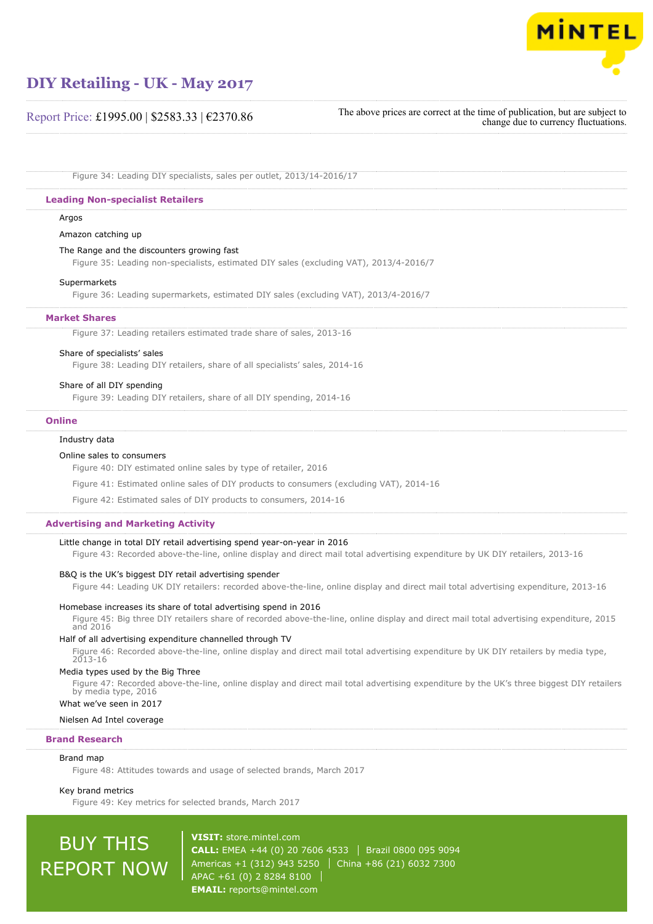

# Report Price: £1995.00 | \$2583.33 | €2370.86

```
The above prices are correct at the time of publication, but are subject to
                         change due to currency fluctuations.
```
Figure 34: Leading DIY specialists, sales per outlet, 2013/14-2016/17

# **Leading Non-specialist Retailers**

# Argos

Amazon catching up

# The Range and the discounters growing fast

Figure 35: Leading non-specialists, estimated DIY sales (excluding VAT), 2013/4-2016/7

# Supermarkets

Figure 36: Leading supermarkets, estimated DIY sales (excluding VAT), 2013/4-2016/7

# **Market Shares**

Figure 37: Leading retailers estimated trade share of sales, 2013-16

# Share of specialists' sales

Figure 38: Leading DIY retailers, share of all specialists' sales, 2014-16

# Share of all DIY spending

Figure 39: Leading DIY retailers, share of all DIY spending, 2014-16

### **Online**

# Industry data

# Online sales to consumers

Figure 40: DIY estimated online sales by type of retailer, 2016

Figure 41: Estimated online sales of DIY products to consumers (excluding VAT), 2014-16

Figure 42: Estimated sales of DIY products to consumers, 2014-16

# **Advertising and Marketing Activity**

# Little change in total DIY retail advertising spend year-on-year in 2016

Figure 43: Recorded above-the-line, online display and direct mail total advertising expenditure by UK DIY retailers, 2013-16

# B&Q is the UK's biggest DIY retail advertising spender

Figure 44: Leading UK DIY retailers: recorded above-the-line, online display and direct mail total advertising expenditure, 2013-16

# Homebase increases its share of total advertising spend in 2016

Figure 45: Big three DIY retailers share of recorded above-the-line, online display and direct mail total advertising expenditure, 2015 and 2016

# Half of all advertising expenditure channelled through TV

Figure 46: Recorded above-the-line, online display and direct mail total advertising expenditure by UK DIY retailers by media type, 2013-16

# Media types used by the Big Three

Figure 47: Recorded above-the-line, online display and direct mail total advertising expenditure by the UK's three biggest DIY retailers by media type, 2016 What we've seen in 2017

# Nielsen Ad Intel coverage

# **Brand Research**

# Brand map

Figure 48: Attitudes towards and usage of selected brands, March 2017

Key brand metrics

Figure 49: Key metrics for selected brands, March 2017

# BUY THIS REPORT NOW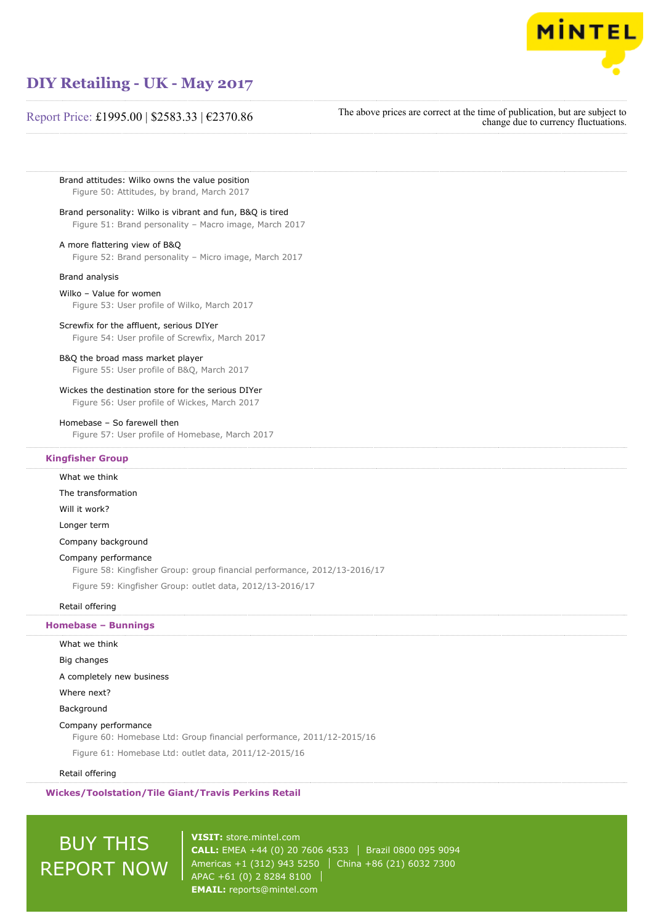

# Report Price: £1995.00 | \$2583.33 | €2370.86

The above prices are correct at the time of publication, but are subject to change due to currency fluctuations.

Brand attitudes: Wilko owns the value position Figure 50: Attitudes, by brand, March 2017

# Brand personality: Wilko is vibrant and fun, B&Q is tired

Figure 51: Brand personality – Macro image, March 2017

# A more flattering view of B&Q

Figure 52: Brand personality – Micro image, March 2017

#### Brand analysis

## Wilko – Value for women

Figure 53: User profile of Wilko, March 2017

#### Screwfix for the affluent, serious DIYer

Figure 54: User profile of Screwfix, March 2017

# B&Q the broad mass market player

Figure 55: User profile of B&Q, March 2017

# Wickes the destination store for the serious DIYer

Figure 56: User profile of Wickes, March 2017

### Homebase – So farewell then

Figure 57: User profile of Homebase, March 2017

# **Kingfisher Group**

What we think

# The transformation

Will it work?

Longer term

Company background

# Company performance

Figure 58: Kingfisher Group: group financial performance, 2012/13-2016/17

Figure 59: Kingfisher Group: outlet data, 2012/13-2016/17

# Retail offering

### **Homebase – Bunnings**

### What we think

Big changes

A completely new business

Where next?

**Background** 

# Company performance

Figure 60: Homebase Ltd: Group financial performance, 2011/12-2015/16

Figure 61: Homebase Ltd: outlet data, 2011/12-2015/16

# Retail offering

**Wickes/Toolstation/Tile Giant/Travis Perkins Retail**

# BUY THIS REPORT NOW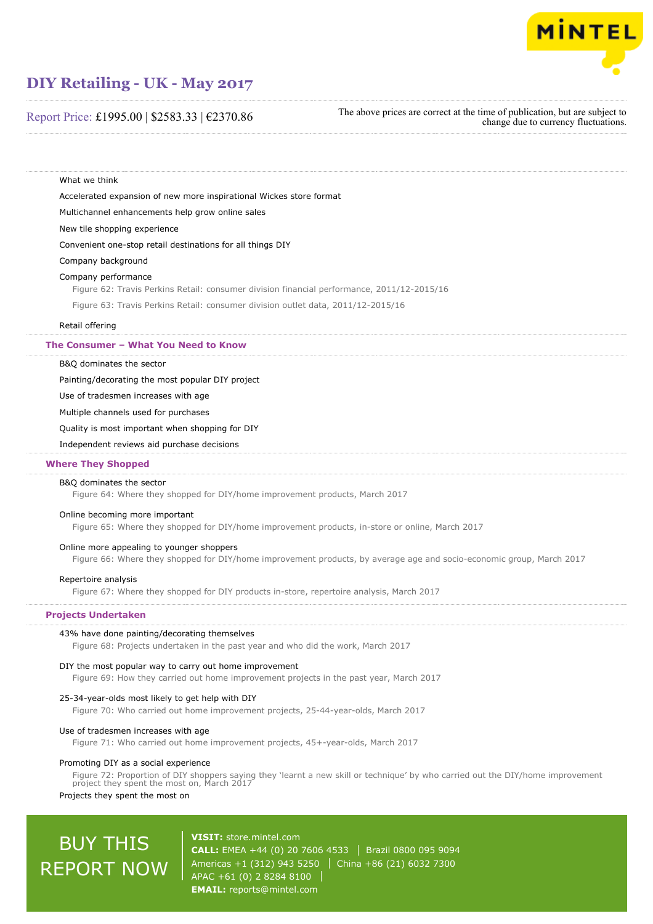

# Report Price: £1995.00 | \$2583.33 | €2370.86

The above prices are correct at the time of publication, but are subject to change due to currency fluctuations.

What we think

Accelerated expansion of new more inspirational Wickes store format

Multichannel enhancements help grow online sales

New tile shopping experience

Convenient one-stop retail destinations for all things DIY

Company background

#### Company performance

Figure 62: Travis Perkins Retail: consumer division financial performance, 2011/12-2015/16

Figure 63: Travis Perkins Retail: consumer division outlet data, 2011/12-2015/16

#### Retail offering

**The Consumer – What You Need to Know**

B&Q dominates the sector

Painting/decorating the most popular DIY project

Use of tradesmen increases with age

Multiple channels used for purchases

Quality is most important when shopping for DIY

Independent reviews aid purchase decisions

# **Where They Shopped**

#### B&Q dominates the sector

Figure 64: Where they shopped for DIY/home improvement products, March 2017

## Online becoming more important

Figure 65: Where they shopped for DIY/home improvement products, in-store or online, March 2017

# Online more appealing to younger shoppers

Figure 66: Where they shopped for DIY/home improvement products, by average age and socio-economic group, March 2017

## Repertoire analysis

Figure 67: Where they shopped for DIY products in-store, repertoire analysis, March 2017

### **Projects Undertaken**

#### 43% have done painting/decorating themselves

Figure 68: Projects undertaken in the past year and who did the work, March 2017

# DIY the most popular way to carry out home improvement

Figure 69: How they carried out home improvement projects in the past year, March 2017

#### 25-34-year-olds most likely to get help with DIY

Figure 70: Who carried out home improvement projects, 25-44-year-olds, March 2017

#### Use of tradesmen increases with age

Figure 71: Who carried out home improvement projects, 45+-year-olds, March 2017

# Promoting DIY as a social experience

Figure 72: Proportion of DIY shoppers saying they 'learnt a new skill or technique' by who carried out the DIY/home improvement project they spent the most on, March 2017

# Projects they spent the most on

# BUY THIS REPORT NOW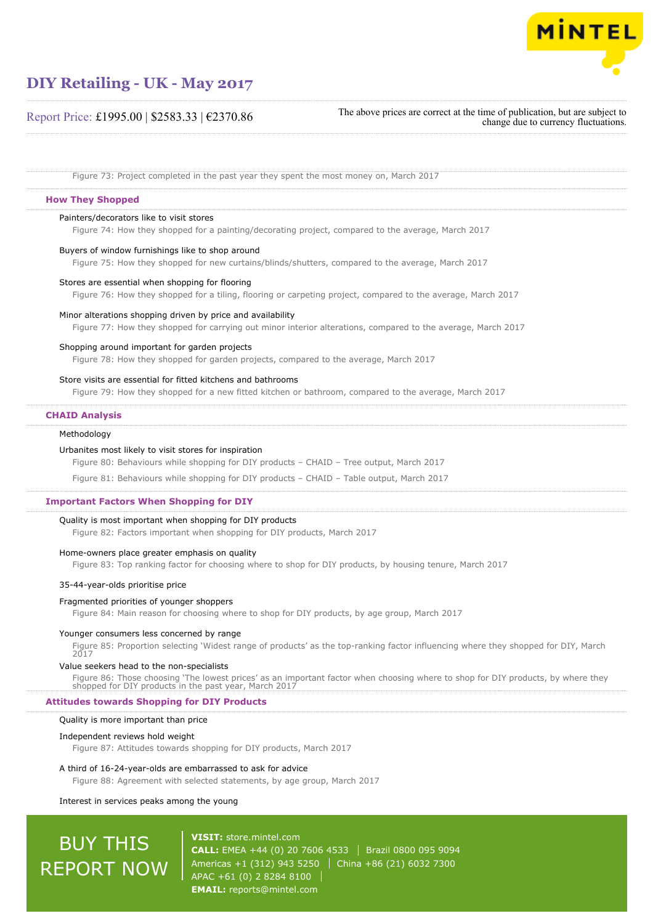

# Report Price: £1995.00 | \$2583.33 | €2370.86

The above prices are correct at the time of publication, but are subject to change due to currency fluctuations.

Figure 73: Project completed in the past year they spent the most money on, March 2017

# **How They Shopped**

#### Painters/decorators like to visit stores

Figure 74: How they shopped for a painting/decorating project, compared to the average, March 2017

#### Buyers of window furnishings like to shop around

Figure 75: How they shopped for new curtains/blinds/shutters, compared to the average, March 2017

# Stores are essential when shopping for flooring

Figure 76: How they shopped for a tiling, flooring or carpeting project, compared to the average, March 2017

#### Minor alterations shopping driven by price and availability

Figure 77: How they shopped for carrying out minor interior alterations, compared to the average, March 2017

#### Shopping around important for garden projects

Figure 78: How they shopped for garden projects, compared to the average, March 2017

# Store visits are essential for fitted kitchens and bathrooms

Fiaure 79: How they shopped for a new fitted kitchen or bathroom, compared to the average, March 2017

# **CHAID Analysis**

#### Methodology

#### Urbanites most likely to visit stores for inspiration

Figure 80: Behaviours while shopping for DIY products – CHAID – Tree output, March 2017

Figure 81: Behaviours while shopping for DIY products – CHAID – Table output, March 2017

# **Important Factors When Shopping for DIY**

# Quality is most important when shopping for DIY products

Figure 82: Factors important when shopping for DIY products, March 2017

#### Home-owners place greater emphasis on quality

Figure 83: Top ranking factor for choosing where to shop for DIY products, by housing tenure, March 2017

#### 35-44-year-olds prioritise price

#### Fragmented priorities of younger shoppers

Figure 84: Main reason for choosing where to shop for DIY products, by age group, March 2017

#### Younger consumers less concerned by range

Figure 85: Proportion selecting 'Widest range of products' as the top-ranking factor influencing where they shopped for DIY, March 2017

#### Value seekers head to the non-specialists

Figure 86: Those choosing 'The lowest prices' as an important factor when choosing where to shop for DIY products, by where they shopped for DIY products in the past year, March 2017

# **Attitudes towards Shopping for DIY Products**

#### Quality is more important than price

#### Independent reviews hold weight

Figure 87: Attitudes towards shopping for DIY products, March 2017

#### A third of 16-24-year-olds are embarrassed to ask for advice

Figure 88: Agreement with selected statements, by age group, March 2017

# Interest in services peaks among the young

# BUY THIS REPORT NOW